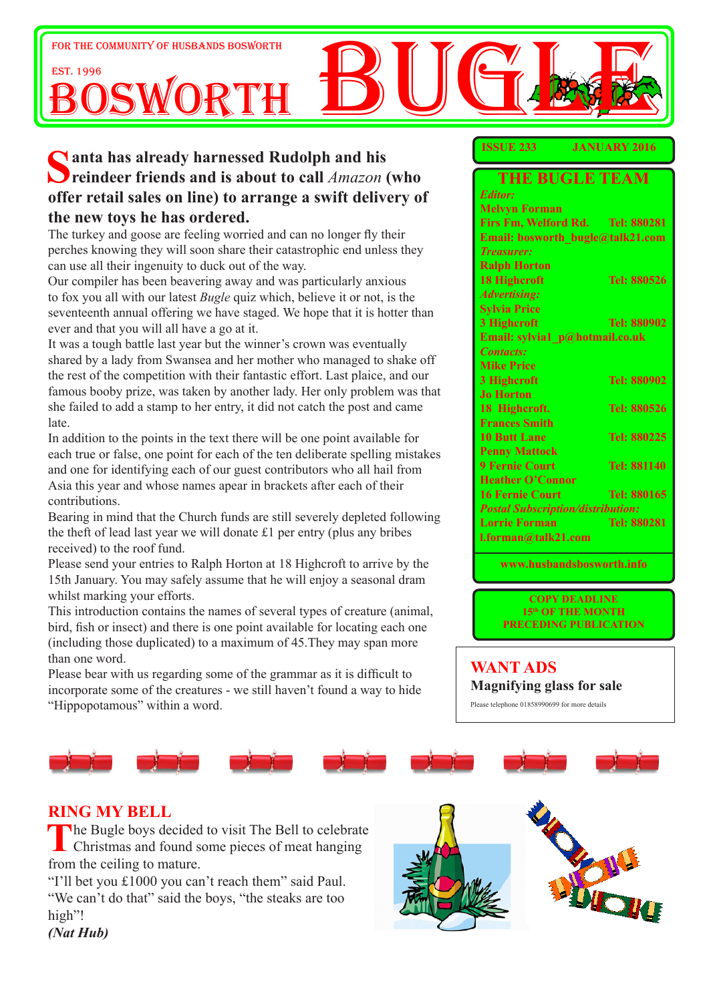

# **Santa has already harnessed Rudolph and his**<br> **reindeer friends and is about to call** *Amazon* **(who offer retail sales on line) to arrange a swift delivery of the new toys he has ordered.**

The turkey and goose are feeling worried and can no longer fly their perches knowing they will soon share their catastrophic end unless they can use all their ingenuity to duck out of the way.

Our compiler has been beavering away and was particularly anxious to fox you all with our latest *Bugle* quiz which, believe it or not, is the seventeenth annual offering we have staged. We hope that it is hotter than ever and that you will all have a go at it.

It was a tough battle last year but the winner's crown was eventually shared by a lady from Swansea and her mother who managed to shake off the rest of the competition with their fantastic effort. Last plaice, and our famous booby prize, was taken by another lady. Her only problem was that she failed to add a stamp to her entry, it did not catch the post and came late.

In addition to the points in the text there will be one point available for each true or false, one point for each of the ten deliberate spelling mistakes and one for identifying each of our guest contributors who all hail from Asia this year and whose names apear in brackets after each of their contributions.

Bearing in mind that the Church funds are still severely depleted following the theft of lead last year we will donate £1 per entry (plus any bribes received) to the roof fund.

Please send your entries to Ralph Horton at 18 Highcroft to arrive by the 15th January. You may safely assume that he will enjoy a seasonal dram whilst marking your efforts.

This introduction contains the names of several types of creature (animal, bird, fish or insect) and there is one point available for locating each one (including those duplicated) to a maximum of 45.They may span more than one word.

Please bear with us regarding some of the grammar as it is difficult to incorporate some of the creatures - we still haven't found a way to hide "Hippopotamous" within a word.

#### **ISSUE 233 JANUARY 2016**

| <b>THE BUGLE TEAM</b>                    |                    |  |  |  |
|------------------------------------------|--------------------|--|--|--|
| <b>Editor:</b>                           |                    |  |  |  |
| <b>Melvyn Forman</b>                     |                    |  |  |  |
| Firs Fm, Welford Rd. Tel: 880281         |                    |  |  |  |
| Email: bosworth bugle@talk21.com         |                    |  |  |  |
| <b>Treasurer:</b>                        |                    |  |  |  |
| <b>Ralph Horton</b>                      |                    |  |  |  |
| <b>18 Highcroft</b>                      | Tel: 880526        |  |  |  |
| <b>Advertising:</b>                      |                    |  |  |  |
| <b>Sylvia Price</b>                      |                    |  |  |  |
| 3 Highcroft                              | Tel: 880902        |  |  |  |
| Email: sylvia1 p@hotmail.co.uk           |                    |  |  |  |
| <b>Contacts:</b>                         |                    |  |  |  |
| <b>Mike Price</b>                        |                    |  |  |  |
| 3 Highcroft                              | <b>Tel: 880902</b> |  |  |  |
| <b>Jo Horton</b>                         |                    |  |  |  |
| 18 Highcroft.                            | Tel: 880526        |  |  |  |
| <b>Frances Smith</b>                     |                    |  |  |  |
| <b>10 Butt Lane</b>                      | Tel: 880225        |  |  |  |
| <b>Penny Mattock</b>                     |                    |  |  |  |
| <b>9 Fernie Court</b>                    | Tel: 881140        |  |  |  |
| <b>Heather O'Connor</b>                  |                    |  |  |  |
| <b>16 Fernie Court</b>                   | Tel: 880165        |  |  |  |
| <b>Postal Subscription/distribution:</b> |                    |  |  |  |
| <b>Lorrie Forman</b>                     | <b>Tel: 880281</b> |  |  |  |
| l.forman@talk21.com                      |                    |  |  |  |

**www.husbandsbosworth.info** 

**COPY DEADLINE 15th OF THE MONTH PRECEDING PUBLICATION** 

#### **WANT ADS Magnifying glass for sale**

Please telephone 01858990699 for more details

# **RING MY BELL**

The Bugle boys decided to visit The Bell to celebrate<br>Christmas and found some pieces of meat hanging from the ceiling to mature.

"I'll bet you £1000 you can't reach them" said Paul. "We can't do that" said the boys, "the steaks are too high"!



*(Nat Hub)*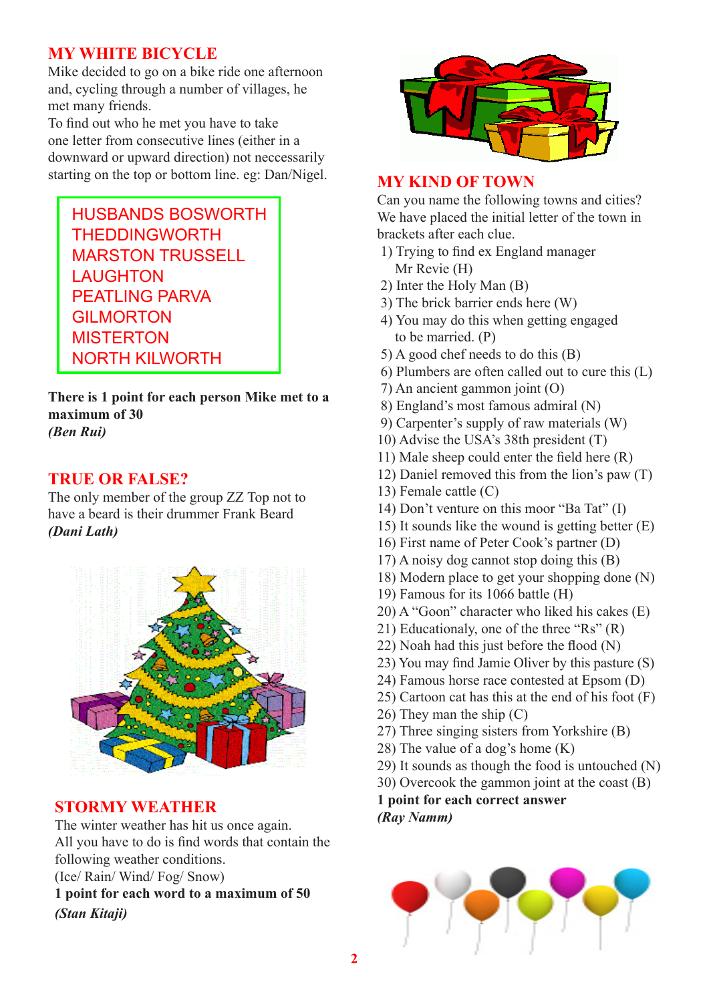## **MY WHITE BICYCLE**

Mike decided to go on a bike ride one afternoon and, cycling through a number of villages, he met many friends.

To find out who he met you have to take one letter from consecutive lines (either in a downward or upward direction) not neccessarily starting on the top or bottom line. eg: Dan/Nigel.

HUSBANDS BOSWORTH **THEDDINGWORTH** MARSTON TRUSSELL LAUGHTON PFATLING PARVA GILMORTON **MISTERTON** NORTH KILWORTH

**There is 1 point for each person Mike met to a maximum of 30** *(Ben Rui)*

### **TRUE OR FALSE?**

The only member of the group ZZ Top not to have a beard is their drummer Frank Beard *(Dani Lath)*



### **STORMY WEATHER**

The winter weather has hit us once again. All you have to do is find words that contain the following weather conditions.

(Ice/ Rain/ Wind/ Fog/ Snow)

**1 point for each word to a maximum of 50** *(Stan Kitaji)*



### **MY KIND OF TOWN**

Can you name the following towns and cities? We have placed the initial letter of the town in brackets after each clue.

- 1) Trying to find ex England manager Mr Revie (H)
- 2) Inter the Holy Man (B)
- 3) The brick barrier ends here (W)
- 4) You may do this when getting engaged to be married. (P)
- 5) A good chef needs to do this (B)
- 6) Plumbers are often called out to cure this (L)
- 7) An ancient gammon joint (O)
- 8) England's most famous admiral (N)
- 9) Carpenter's supply of raw materials (W)
- 10) Advise the USA's 38th president (T)
- 11) Male sheep could enter the field here (R)
- 12) Daniel removed this from the lion's paw (T)
- 13) Female cattle (C)
- 14) Don't venture on this moor "Ba Tat" (I)
- 15) It sounds like the wound is getting better (E)
- 16) First name of Peter Cook's partner (D)
- 17) A noisy dog cannot stop doing this (B)
- 18) Modern place to get your shopping done (N)
- 19) Famous for its 1066 battle (H)
- 20) A "Goon" character who liked his cakes (E)
- 21) Educationaly, one of the three "Rs" (R)
- 22) Noah had this just before the flood (N)
- 23) You may find Jamie Oliver by this pasture (S)
- 24) Famous horse race contested at Epsom (D)
- 25) Cartoon cat has this at the end of his foot (F)
- 26) They man the ship (C)
- 27) Three singing sisters from Yorkshire (B)
- 28) The value of a dog's home (K)
- 29) It sounds as though the food is untouched (N)
- 30) Overcook the gammon joint at the coast (B)

**1 point for each correct answer** *(Ray Namm)*

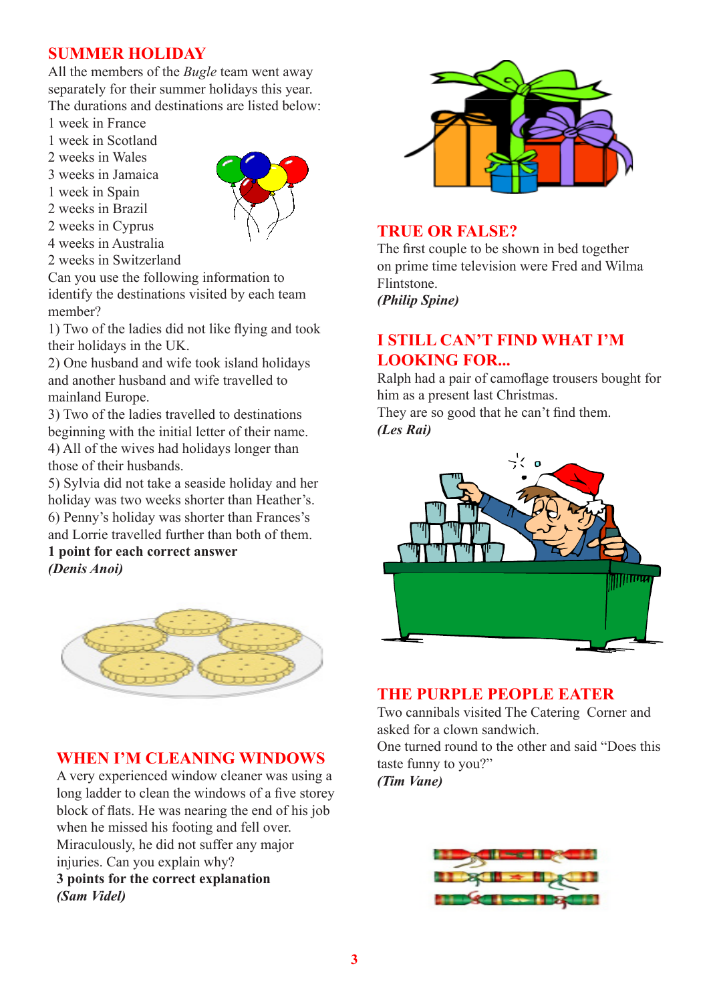## **SUMMER HOLIDAY**

All the members of the *Bugle* team went away separately for their summer holidays this year. The durations and destinations are listed below:

- 1 week in France
- 1 week in Scotland
- 2 weeks in Wales
- 3 weeks in Jamaica
- 1 week in Spain
- 2 weeks in Brazil
- 2 weeks in Cyprus
- 4 weeks in Australia



Can you use the following information to identify the destinations visited by each team member?

1) Two of the ladies did not like flying and took their holidays in the UK.

2) One husband and wife took island holidays and another husband and wife travelled to mainland Europe.

3) Two of the ladies travelled to destinations beginning with the initial letter of their name. 4) All of the wives had holidays longer than those of their husbands.

5) Sylvia did not take a seaside holiday and her holiday was two weeks shorter than Heather's. 6) Penny's holiday was shorter than Frances's and Lorrie travelled further than both of them.

**1 point for each correct answer** *(Denis Anoi)*



### **WHEN I'M CLEANING WINDOWS**

A very experienced window cleaner was using a long ladder to clean the windows of a five storey block of flats. He was nearing the end of his job when he missed his footing and fell over. Miraculously, he did not suffer any major injuries. Can you explain why? **3 points for the correct explanation** *(Sam Videl)*



### **TRUE OR FALSE?**

The first couple to be shown in bed together on prime time television were Fred and Wilma Flintstone.

*(Philip Spine)*

## **I STILL CAN'T FIND WHAT I'M LOOKING FOR...**

Ralph had a pair of camoflage trousers bought for him as a present last Christmas.

They are so good that he can't find them. *(Les Rai)*



### **THE PURPLE PEOPLE EATER**

Two cannibals visited The Catering Corner and asked for a clown sandwich. One turned round to the other and said "Does this taste funny to you?" *(Tim Vane)*

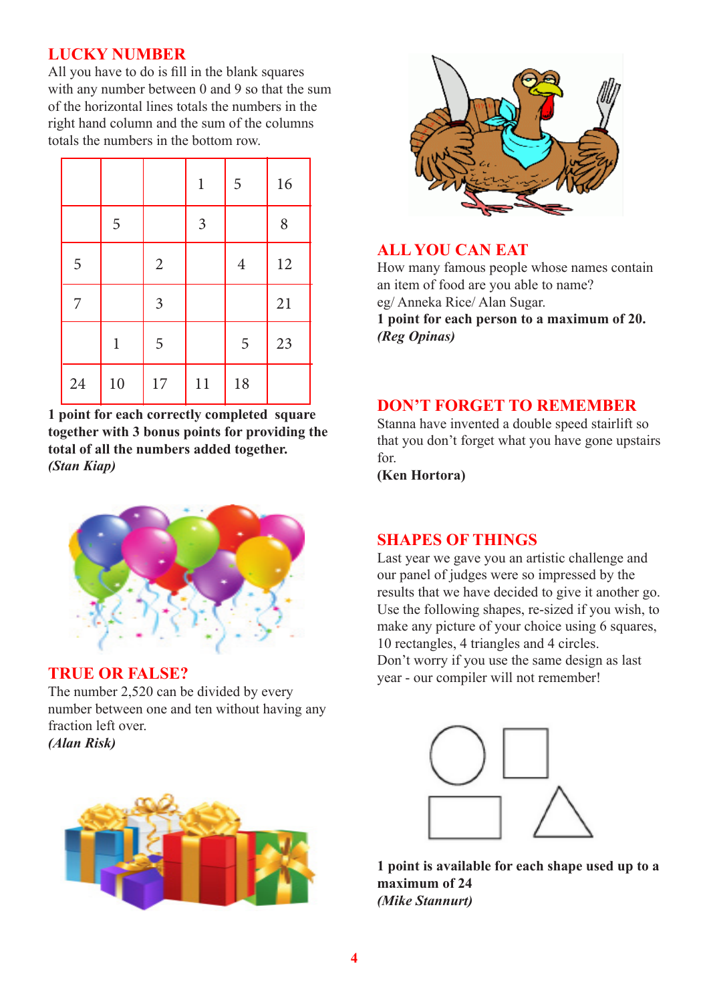# **LUCKY NUMBER**

All you have to do is fill in the blank squares with any number between 0 and 9 so that the sum of the horizontal lines totals the numbers in the right hand column and the sum of the columns totals the numbers in the bottom row.

|    |             |                | $\mathbf{1}$   | 5              | 16 |
|----|-------------|----------------|----------------|----------------|----|
|    | 5           |                | $\mathfrak{Z}$ |                | 8  |
| 5  |             | $\overline{2}$ |                | $\overline{4}$ | 12 |
| 7  |             | $\mathfrak{Z}$ |                |                | 21 |
|    | $\mathbf 1$ | 5              |                | 5              | 23 |
| 24 | 10          | 17             | 11             | 18             |    |

**1 point for each correctly completed square together with 3 bonus points for providing the total of all the numbers added together.** *(Stan Kiap)*



### **TRUE OR FALSE?**

The number 2,520 can be divided by every number between one and ten without having any fraction left over. *(Alan Risk)*





## **ALL YOU CAN EAT**

How many famous people whose names contain an item of food are you able to name? eg/ Anneka Rice/ Alan Sugar.

**1 point for each person to a maximum of 20.** *(Reg Opinas)*

#### **DON'T FORGET TO REMEMBER**

Stanna have invented a double speed stairlift so that you don't forget what you have gone upstairs for.

**(Ken Hortora)**

# **SHAPES OF THINGS**

Last year we gave you an artistic challenge and our panel of judges were so impressed by the results that we have decided to give it another go. Use the following shapes, re-sized if you wish, to make any picture of your choice using 6 squares, 10 rectangles, 4 triangles and 4 circles. Don't worry if you use the same design as last year - our compiler will not remember!



**1 point is available for each shape used up to a maximum of 24** *(Mike Stannurt)*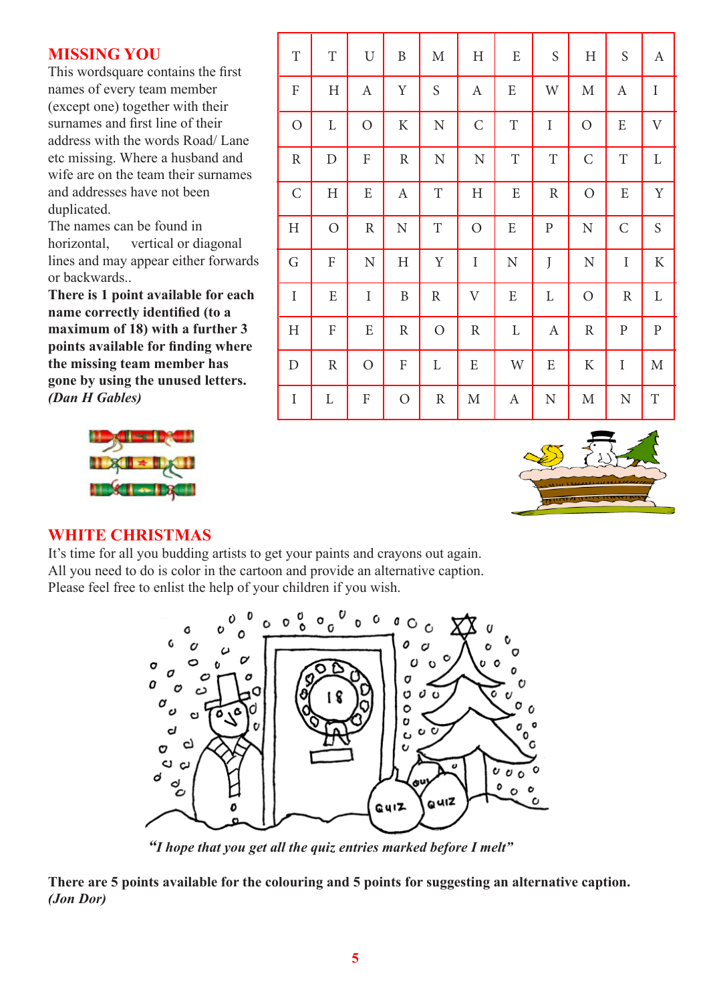#### **MISSING YOU**

This wordsquare contains the first names of every team member (except one) together with their surnames and first line of their address with the words Road/ Lane etc missing. Where a husband and wife are on the team their surnames and addresses have not been duplicated.

The names can be found in horizontal, vertical or diagonal lines and may appear either forwards or backwards..

**There is 1 point available for each name correctly identified (to a maximum of 18) with a further 3 points available for finding where the missing team member has gone by using the unused letters.** *(Dan H Gables)*



| $\rm T$        | $\mathbf T$               | U                         | B                         | $\mathbf M$   | $H_{\rm}$        | E           | S                | $H_{\rm}$     | ${\mathsf S}$    | A            |
|----------------|---------------------------|---------------------------|---------------------------|---------------|------------------|-------------|------------------|---------------|------------------|--------------|
| ${\bf F}$      | $\boldsymbol{\mathrm{H}}$ | $\boldsymbol{A}$          | $\mathbf Y$               | ${\mathsf S}$ | $\boldsymbol{A}$ | E           | W                | M             | $\boldsymbol{A}$ | $\rm I$      |
| $\overline{O}$ | L                         | $\mathcal{O}$             | $\rm K$                   | $\mathbf N$   | $\mathcal{C}$    | $\mathbf T$ | $\rm I$          | $\mathcal{O}$ | E                | $\mathbf{V}$ |
| $\mathbb{R}$   | $\mathbf D$               | $\boldsymbol{\mathrm{F}}$ | $\mathbf R$               | $\mathbf N$   | ${\bf N}$        | $\rm T$     | $\mathbf T$      | $\mathsf{C}$  | $\mathbf T$      | L            |
| $\mathsf{C}$   | $\rm H$                   | E                         | $\boldsymbol{A}$          | $\mathbf T$   | H                | E           | ${\bf R}$        | $\mathcal{O}$ | ${\bf E}$        | Y            |
| H              | $\overline{O}$            | $\mathbb{R}$              | $\mathbf N$               | $\mathbf T$   | $\overline{O}$   | E           | $\, {\bf p}$     | ${\bf N}$     | $\mathcal{C}$    | S            |
| G              | $\boldsymbol{\mathrm{F}}$ | ${\bf N}$                 | $\rm H$                   | Y             | $\mathbf I$      | ${\bf N}$   | J                | ${\bf N}$     | $\rm I$          | $\rm K$      |
| $\rm I$        | E                         | $\rm I$                   | $\, {\bf B}$              | $\mathbb{R}$  | $\rm V$          | ${\bf E}$   | $\mathbf L$      | $\mathcal{O}$ | $\mathbb{R}$     | $\mathbf L$  |
| H              | F                         | ${\bf E}$                 | $\mathbb R$               | $\mathcal{O}$ | $\mathbb{R}$     | L           | $\boldsymbol{A}$ | ${\bf R}$     | ${\bf P}$        | ${\bf P}$    |
| $\mathbf D$    | $\mathbb R$               | $\mathcal{O}$             | $\boldsymbol{\mathrm{F}}$ | L             | ${\bf E}$        | W           | E                | K             | $\rm I$          | M            |
| I              | L                         | $\boldsymbol{\mathrm{F}}$ | $\mathcal{O}$             | ${\bf R}$     | $\mathbf M$      | A           | ${\bf N}$        | $\mathbf M$   | ${\bf N}$        | $\rm T$      |



### **WHITE CHRISTMAS**

It's time for all you budding artists to get your paints and crayons out again. All you need to do is color in the cartoon and provide an alternative caption. Please feel free to enlist the help of your children if you wish.



*"I hope that you get all the quiz entries marked before I melt"*

**There are 5 points available for the colouring and 5 points for suggesting an alternative caption.** *(Jon Dor)*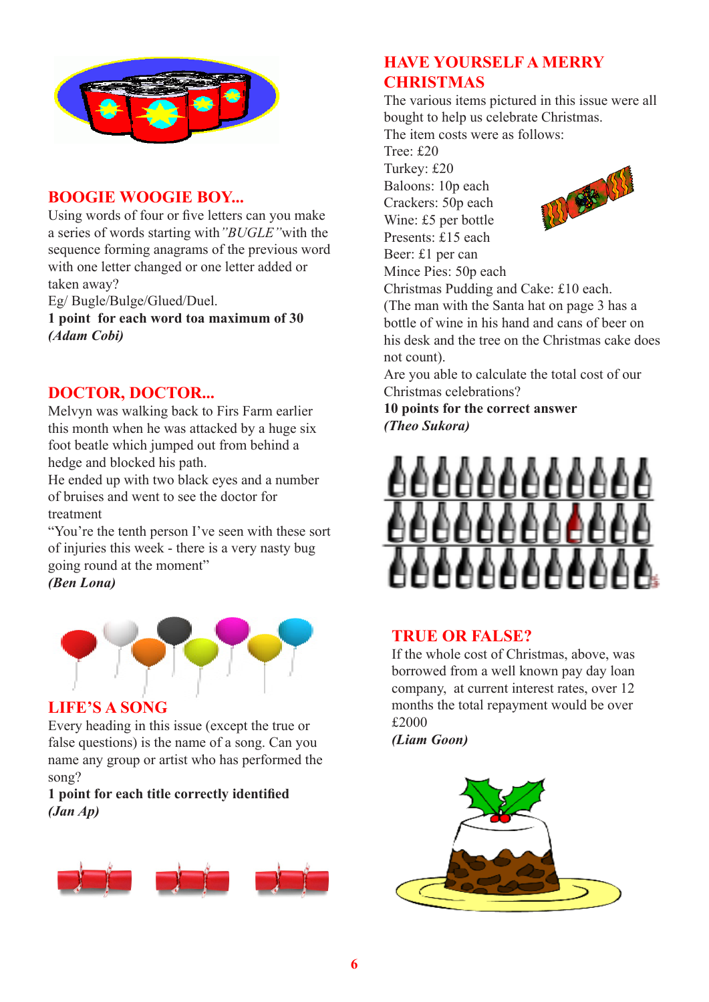

## **BOOGIE WOOGIE BOY...**

Using words of four or five letters can you make a series of words starting with*"BUGLE"*with the sequence forming anagrams of the previous word with one letter changed or one letter added or taken away?

Eg/ Bugle/Bulge/Glued/Duel.

**1 point for each word toa maximum of 30** *(Adam Cobi)*

### **DOCTOR, DOCTOR...**

Melvyn was walking back to Firs Farm earlier this month when he was attacked by a huge six foot beatle which jumped out from behind a hedge and blocked his path.

He ended up with two black eyes and a number of bruises and went to see the doctor for treatment

"You're the tenth person I've seen with these sort of injuries this week - there is a very nasty bug going round at the moment" *(Ben Lona)*



### **LIFE'S A SONG**

Every heading in this issue (except the true or false questions) is the name of a song. Can you name any group or artist who has performed the song?

**1 point for each title correctly identified** *(Jan Ap)*



# **HAVE YOURSELF A MERRY CHRISTMAS**

The various items pictured in this issue were all bought to help us celebrate Christmas. The item costs were as follows:

Tree: £20

Turkey: £20

Baloons: 10p each Crackers: 50p each Wine: £5 per bottle

Presents: £15 each Beer: £1 per can

Mince Pies: 50p each



Christmas Pudding and Cake: £10 each. (The man with the Santa hat on page 3 has a bottle of wine in his hand and cans of beer on his desk and the tree on the Christmas cake does not count).

Are you able to calculate the total cost of our Christmas celebrations?

**10 points for the correct answer** *(Theo Sukora)*



### **TRUE OR FALSE?**

If the whole cost of Christmas, above, was borrowed from a well known pay day loan company, at current interest rates, over 12 months the total repayment would be over £2000

*(Liam Goon)*

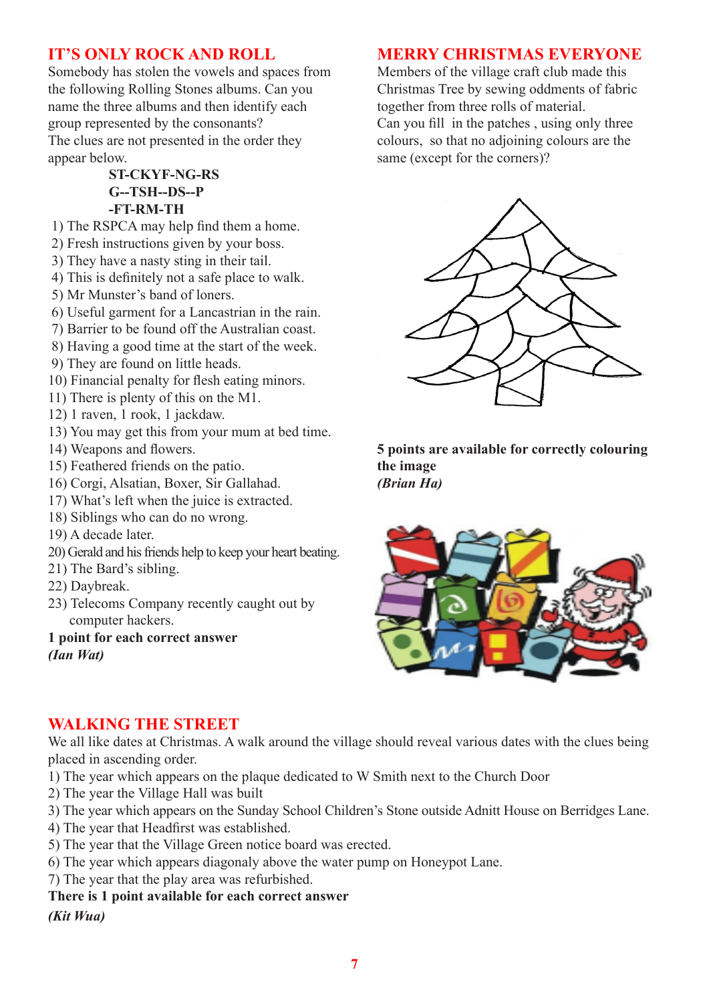# **IT'S ONLY ROCK AND ROLL**

Somebody has stolen the vowels and spaces from the following Rolling Stones albums. Can you name the three albums and then identify each group represented by the consonants? The clues are not presented in the order they appear below.

#### **ST-CKYF-NG-RS G--TSH--DS--P -FT-RM-TH**

- 1) The RSPCA may help find them a home.
- 2) Fresh instructions given by your boss.
- 3) They have a nasty sting in their tail.
- 4) This is definitely not a safe place to walk.
- 5) Mr Munster's band of loners.
- 6) Useful garment for a Lancastrian in the rain.
- 7) Barrier to be found off the Australian coast.
- 8) Having a good time at the start of the week.
- 9) They are found on little heads.
- 10) Financial penalty for flesh eating minors.
- 11) There is plenty of this on the M1.
- 12) 1 raven, 1 rook, 1 jackdaw.
- 13) You may get this from your mum at bed time.
- 14) Weapons and flowers.
- 15) Feathered friends on the patio.
- 16) Corgi, Alsatian, Boxer, Sir Gallahad.
- 17) What's left when the juice is extracted.
- 18) Siblings who can do no wrong.
- 19) A decade later.
- 20) Gerald and his friends help to keep your heart beating.
- 21) The Bard's sibling.
- 22) Daybreak.
- 23) Telecoms Company recently caught out by computer hackers.

#### **1 point for each correct answer** *(Ian Wat)*

#### **MERRY CHRISTMAS EVERYONE**

Members of the village craft club made this Christmas Tree by sewing oddments of fabric together from three rolls of material.

Can you fill in the patches , using only three colours, so that no adjoining colours are the same (except for the corners)?



**5 points are available for correctly colouring the image** *(Brian Ha)*



### **WALKING THE STREET**

We all like dates at Christmas. A walk around the village should reveal various dates with the clues being placed in ascending order.

- 1) The year which appears on the plaque dedicated to W Smith next to the Church Door
- 2) The year the Village Hall was built
- 3) The year which appears on the Sunday School Children's Stone outside Adnitt House on Berridges Lane.
- 4) The year that Headfirst was established.
- 5) The year that the Village Green notice board was erected.
- 6) The year which appears diagonaly above the water pump on Honeypot Lane.
- 7) The year that the play area was refurbished.

#### **There is 1 point available for each correct answer** *(Kit Wua)*